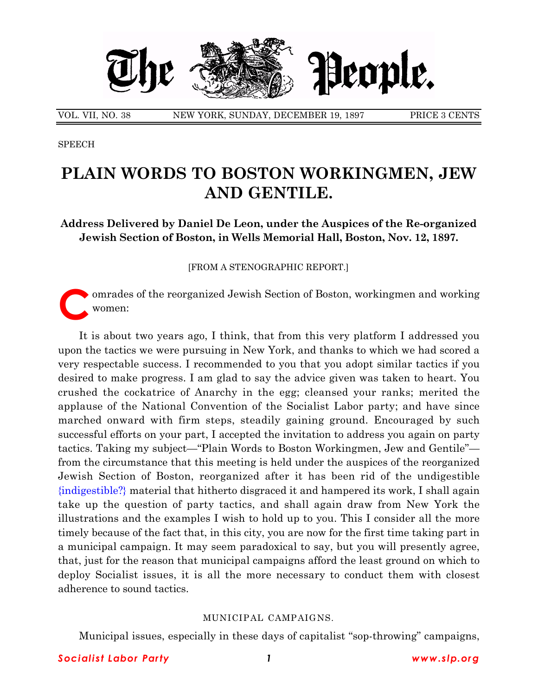

VOL. VII, NO. 38 NEW YORK, SUNDAY, DECEMBER 19, 1897 PRICE 3 CENTS

**SPEECH** 

# **PLAIN WORDS TO BOSTON WORKINGMEN, JEW AND GENTILE.**

**Address Delivered by Daniel De Leon, under the Auspices of the Re-organized Jewish Section of Boston, in Wells Memorial Hall, Boston, Nov. 12, 1897.**

[FROM A STENOGRAPHIC REPORT.]

omrades of the reorganized Jewish Section of Boston, workingmen and working women:

It is about two years ago, I think, that from this very platform I addressed you upon the tactics we were pursuing in New York, and thanks to which we had scored a very respectable success. I recommended to you that you adopt similar tactics if you desired to make progress. I am glad to say the advice given was taken to heart. You crushed the cockatrice of Anarchy in the egg; cleansed your ranks; merited the applause of the National Convention of the Socialist Labor party; and have since marched onward with firm steps, steadily gaining ground. Encouraged by such successful efforts on your part, I accepted the invitation to address you again on party tactics. Taking my subject—"Plain Words to Boston Workingmen, Jew and Gentile" from the circumstance that this meeting is held under the auspices of the reorganized Jewish Section of Boston, reorganized after it has been rid of the undigestible {indigestible?} material that hitherto disgraced it and hampered its work, I shall again take up the question of party tactics, and shall again draw from New York the illustrations and the examples I wish to hold up to you. This I consider all the more timely because of the fact that, in this city, you are now for the first time taking part in a municipal campaign. It may seem paradoxical to say, but you will presently agree, that, just for the reason that municipal campaigns afford the least ground on which to deploy Socialist issues, it is all the more necessary to conduct them with closest adherence to sound tactics.

## MUNICIPAL CAMPAIGNS.

Municipal issues, especially in these days of capitalist "sop-throwing" campaigns,

## *Socialist Labor Party 1 www.slp.org*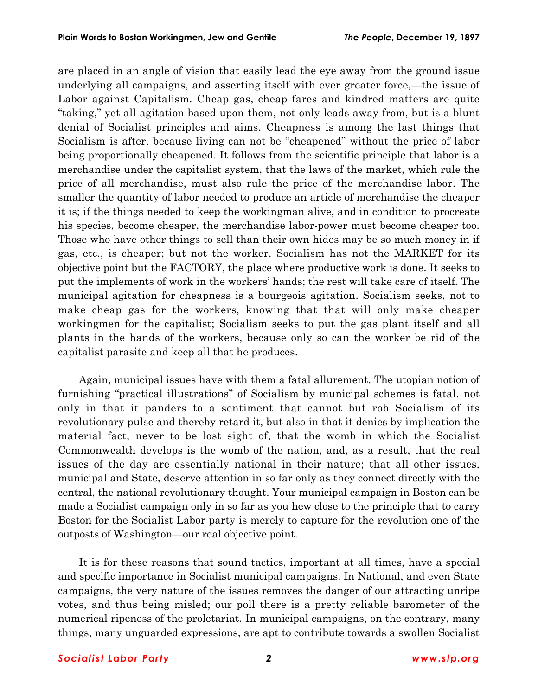are placed in an angle of vision that easily lead the eye away from the ground issue underlying all campaigns, and asserting itself with ever greater force,—the issue of Labor against Capitalism. Cheap gas, cheap fares and kindred matters are quite "taking," yet all agitation based upon them, not only leads away from, but is a blunt denial of Socialist principles and aims. Cheapness is among the last things that Socialism is after, because living can not be "cheapened" without the price of labor being proportionally cheapened. It follows from the scientific principle that labor is a merchandise under the capitalist system, that the laws of the market, which rule the price of all merchandise, must also rule the price of the merchandise labor. The smaller the quantity of labor needed to produce an article of merchandise the cheaper it is; if the things needed to keep the workingman alive, and in condition to procreate his species, become cheaper, the merchandise labor-power must become cheaper too. Those who have other things to sell than their own hides may be so much money in if gas, etc., is cheaper; but not the worker. Socialism has not the MARKET for its objective point but the FACTORY, the place where productive work is done. It seeks to put the implements of work in the workersí hands; the rest will take care of itself. The municipal agitation for cheapness is a bourgeois agitation. Socialism seeks, not to make cheap gas for the workers, knowing that that will only make cheaper workingmen for the capitalist; Socialism seeks to put the gas plant itself and all plants in the hands of the workers, because only so can the worker be rid of the capitalist parasite and keep all that he produces.

Again, municipal issues have with them a fatal allurement. The utopian notion of furnishing "practical illustrations" of Socialism by municipal schemes is fatal, not only in that it panders to a sentiment that cannot but rob Socialism of its revolutionary pulse and thereby retard it, but also in that it denies by implication the material fact, never to be lost sight of, that the womb in which the Socialist Commonwealth develops is the womb of the nation, and, as a result, that the real issues of the day are essentially national in their nature; that all other issues, municipal and State, deserve attention in so far only as they connect directly with the central, the national revolutionary thought. Your municipal campaign in Boston can be made a Socialist campaign only in so far as you hew close to the principle that to carry Boston for the Socialist Labor party is merely to capture for the revolution one of the outposts of Washington—our real objective point.

It is for these reasons that sound tactics, important at all times, have a special and specific importance in Socialist municipal campaigns. In National, and even State campaigns, the very nature of the issues removes the danger of our attracting unripe votes, and thus being misled; our poll there is a pretty reliable barometer of the numerical ripeness of the proletariat. In municipal campaigns, on the contrary, many things, many unguarded expressions, are apt to contribute towards a swollen Socialist

#### *Socialist Labor Party 2 www.slp.org*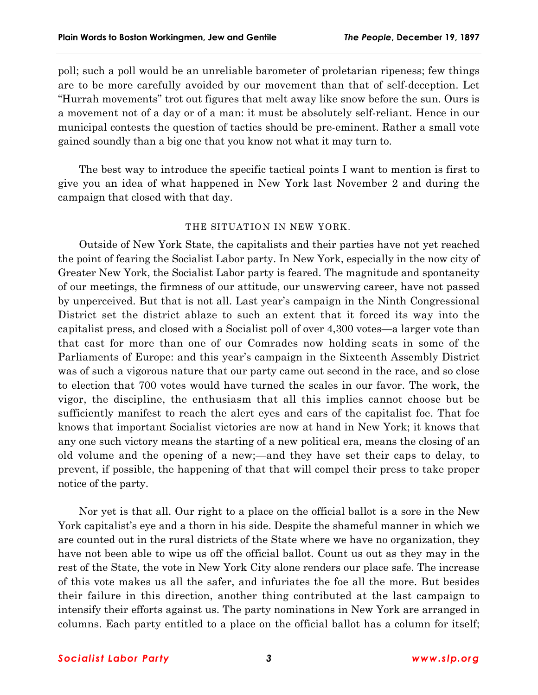poll; such a poll would be an unreliable barometer of proletarian ripeness; few things are to be more carefully avoided by our movement than that of self-deception. Let ìHurrah movementsî trot out figures that melt away like snow before the sun. Ours is a movement not of a day or of a man: it must be absolutely self-reliant. Hence in our municipal contests the question of tactics should be pre-eminent. Rather a small vote gained soundly than a big one that you know not what it may turn to.

The best way to introduce the specific tactical points I want to mention is first to give you an idea of what happened in New York last November 2 and during the campaign that closed with that day.

## THE SITUATION IN NEW YORK.

Outside of New York State, the capitalists and their parties have not yet reached the point of fearing the Socialist Labor party. In New York, especially in the now city of Greater New York, the Socialist Labor party is feared. The magnitude and spontaneity of our meetings, the firmness of our attitude, our unswerving career, have not passed by unperceived. But that is not all. Last yearís campaign in the Ninth Congressional District set the district ablaze to such an extent that it forced its way into the capitalist press, and closed with a Socialist poll of over  $4,300$  votes—a larger vote than that cast for more than one of our Comrades now holding seats in some of the Parliaments of Europe: and this year's campaign in the Sixteenth Assembly District was of such a vigorous nature that our party came out second in the race, and so close to election that 700 votes would have turned the scales in our favor. The work, the vigor, the discipline, the enthusiasm that all this implies cannot choose but be sufficiently manifest to reach the alert eyes and ears of the capitalist foe. That foe knows that important Socialist victories are now at hand in New York; it knows that any one such victory means the starting of a new political era, means the closing of an old volume and the opening of a new;—and they have set their caps to delay, to prevent, if possible, the happening of that that will compel their press to take proper notice of the party.

Nor yet is that all. Our right to a place on the official ballot is a sore in the New York capitalist's eye and a thorn in his side. Despite the shameful manner in which we are counted out in the rural districts of the State where we have no organization, they have not been able to wipe us off the official ballot. Count us out as they may in the rest of the State, the vote in New York City alone renders our place safe. The increase of this vote makes us all the safer, and infuriates the foe all the more. But besides their failure in this direction, another thing contributed at the last campaign to intensify their efforts against us. The party nominations in New York are arranged in columns. Each party entitled to a place on the official ballot has a column for itself;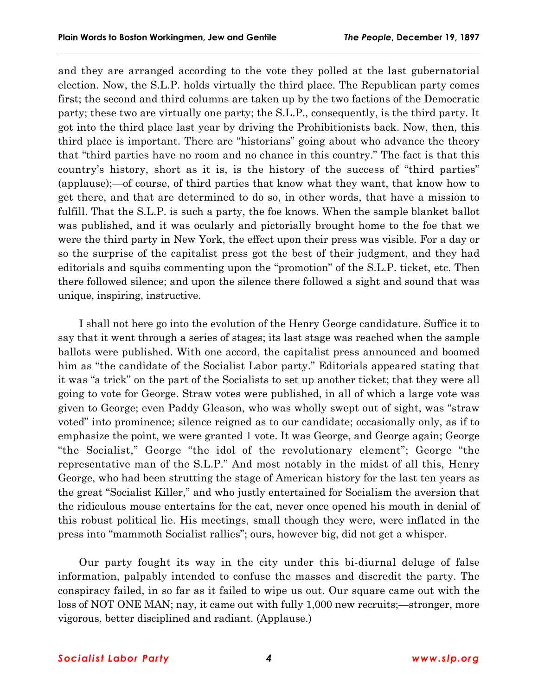and they are arranged according to the vote they polled at the last gubernatorial election. Now, the S.L.P. holds virtually the third place. The Republican party comes first; the second and third columns are taken up by the two factions of the Democratic party; these two are virtually one party; the S.L.P., consequently, is the third party. It got into the third place last year by driving the Prohibitionists back. Now, then, this third place is important. There are "historians" going about who advance the theory that "third parties have no room and no chance in this country." The fact is that this country's history, short as it is, is the history of the success of "third parties" (applause);—of course, of third parties that know what they want, that know how to get there, and that are determined to do so, in other words, that have a mission to fulfill. That the S.L.P. is such a party, the foe knows. When the sample blanket ballot was published, and it was ocularly and pictorially brought home to the foe that we were the third party in New York, the effect upon their press was visible. For a day or so the surprise of the capitalist press got the best of their judgment, and they had editorials and squibs commenting upon the "promotion" of the S.L.P. ticket, etc. Then there followed silence; and upon the silence there followed a sight and sound that was unique, inspiring, instructive.

I shall not here go into the evolution of the Henry George candidature. Suffice it to say that it went through a series of stages; its last stage was reached when the sample ballots were published. With one accord, the capitalist press announced and boomed him as "the candidate of the Socialist Labor party." Editorials appeared stating that it was "a trick" on the part of the Socialists to set up another ticket; that they were all going to vote for George. Straw votes were published, in all of which a large vote was given to George; even Paddy Gleason, who was wholly swept out of sight, was "straw" votedî into prominence; silence reigned as to our candidate; occasionally only, as if to emphasize the point, we were granted 1 vote. It was George, and George again; George "the Socialist," George "the idol of the revolutionary element"; George "the representative man of the S.L.P." And most notably in the midst of all this, Henry George, who had been strutting the stage of American history for the last ten years as the great "Socialist Killer," and who justly entertained for Socialism the aversion that the ridiculous mouse entertains for the cat, never once opened his mouth in denial of this robust political lie. His meetings, small though they were, were inflated in the press into "mammoth Socialist rallies"; ours, however big, did not get a whisper.

Our party fought its way in the city under this bi-diurnal deluge of false information, palpably intended to confuse the masses and discredit the party. The conspiracy failed, in so far as it failed to wipe us out. Our square came out with the loss of NOT ONE MAN; nay, it came out with fully 1,000 new recruits;—stronger, more vigorous, better disciplined and radiant. (Applause.)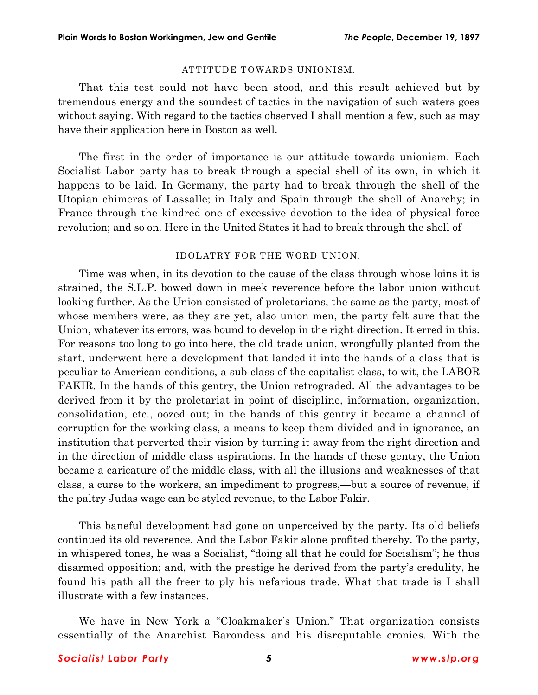# ATTITUDE TOWARDS UNIONISM.

That this test could not have been stood, and this result achieved but by tremendous energy and the soundest of tactics in the navigation of such waters goes without saying. With regard to the tactics observed I shall mention a few, such as may have their application here in Boston as well.

The first in the order of importance is our attitude towards unionism. Each Socialist Labor party has to break through a special shell of its own, in which it happens to be laid. In Germany, the party had to break through the shell of the Utopian chimeras of Lassalle; in Italy and Spain through the shell of Anarchy; in France through the kindred one of excessive devotion to the idea of physical force revolution; and so on. Here in the United States it had to break through the shell of

# IDOLATRY FOR THE WORD UNION.

Time was when, in its devotion to the cause of the class through whose loins it is strained, the S.L.P. bowed down in meek reverence before the labor union without looking further. As the Union consisted of proletarians, the same as the party, most of whose members were, as they are yet, also union men, the party felt sure that the Union, whatever its errors, was bound to develop in the right direction. It erred in this. For reasons too long to go into here, the old trade union, wrongfully planted from the start, underwent here a development that landed it into the hands of a class that is peculiar to American conditions, a sub-class of the capitalist class, to wit, the LABOR FAKIR. In the hands of this gentry, the Union retrograded. All the advantages to be derived from it by the proletariat in point of discipline, information, organization, consolidation, etc., oozed out; in the hands of this gentry it became a channel of corruption for the working class, a means to keep them divided and in ignorance, an institution that perverted their vision by turning it away from the right direction and in the direction of middle class aspirations. In the hands of these gentry, the Union became a caricature of the middle class, with all the illusions and weaknesses of that class, a curse to the workers, an impediment to progress,—but a source of revenue, if the paltry Judas wage can be styled revenue, to the Labor Fakir.

This baneful development had gone on unperceived by the party. Its old beliefs continued its old reverence. And the Labor Fakir alone profited thereby. To the party, in whispered tones, he was a Socialist, "doing all that he could for Socialism"; he thus disarmed opposition; and, with the prestige he derived from the partyís credulity, he found his path all the freer to ply his nefarious trade. What that trade is I shall illustrate with a few instances.

We have in New York a "Cloakmaker's Union." That organization consists essentially of the Anarchist Barondess and his disreputable cronies. With the

# *Socialist Labor Party 5 www.slp.org*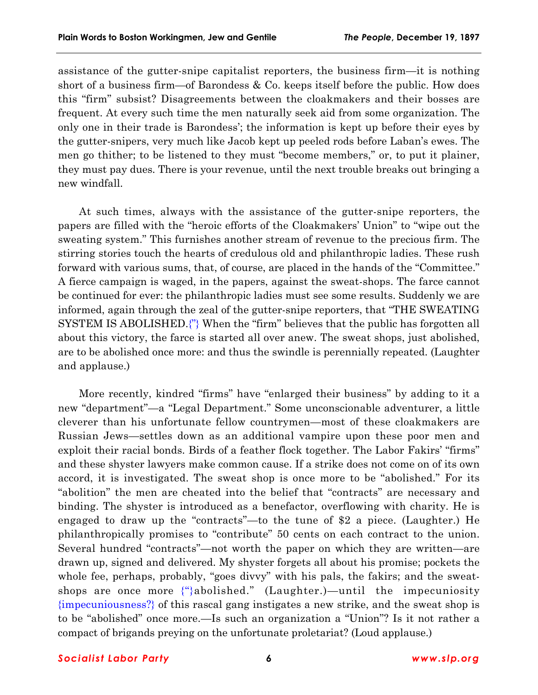assistance of the gutter-snipe capitalist reporters, the business firm—it is nothing short of a business firm—of Barondess  $\&$  Co. keeps itself before the public. How does this "firm" subsist? Disagreements between the cloakmakers and their bosses are frequent. At every such time the men naturally seek aid from some organization. The only one in their trade is Barondessí; the information is kept up before their eyes by the gutter-snipers, very much like Jacob kept up peeled rods before Labanís ewes. The men go thither; to be listened to they must "become members," or, to put it plainer, they must pay dues. There is your revenue, until the next trouble breaks out bringing a new windfall.

At such times, always with the assistance of the gutter-snipe reporters, the papers are filled with the "heroic efforts of the Cloakmakers' Union" to "wipe out the sweating system." This furnishes another stream of revenue to the precious firm. The stirring stories touch the hearts of credulous old and philanthropic ladies. These rush forward with various sums, that, of course, are placed in the hands of the "Committee." A fierce campaign is waged, in the papers, against the sweat-shops. The farce cannot be continued for ever: the philanthropic ladies must see some results. Suddenly we are informed, again through the zeal of the gutter-snipe reporters, that "THE SWEATING SYSTEM IS ABOLISHED. $\binom{n}{k}$  When the "firm" believes that the public has forgotten all about this victory, the farce is started all over anew. The sweat shops, just abolished, are to be abolished once more: and thus the swindle is perennially repeated. (Laughter and applause.)

More recently, kindred "firms" have "enlarged their business" by adding to it a new "department"—a "Legal Department." Some unconscionable adventurer, a little cleverer than his unfortunate fellow countrymen—most of these cloakmakers are Russian Jews—settles down as an additional vampire upon these poor men and exploit their racial bonds. Birds of a feather flock together. The Labor Fakirs' "firms" and these shyster lawyers make common cause. If a strike does not come on of its own accord, it is investigated. The sweat shop is once more to be "abolished." For its "abolition" the men are cheated into the belief that "contracts" are necessary and binding. The shyster is introduced as a benefactor, overflowing with charity. He is engaged to draw up the "contracts"—to the tune of \$2 a piece. (Laughter.) He philanthropically promises to "contribute" 50 cents on each contract to the union. Several hundred "contracts"—not worth the paper on which they are written—are drawn up, signed and delivered. My shyster forgets all about his promise; pockets the whole fee, perhaps, probably, "goes divvy" with his pals, the fakirs; and the sweatshops are once more  $\{\hat{\ }$ abolished." (Laughter.)—until the impecuniosity {impecuniousness?} of this rascal gang instigates a new strike, and the sweat shop is to be "abolished" once more.—Is such an organization a "Union"? Is it not rather a compact of brigands preying on the unfortunate proletariat? (Loud applause.)

#### *Socialist Labor Party 6 www.slp.org*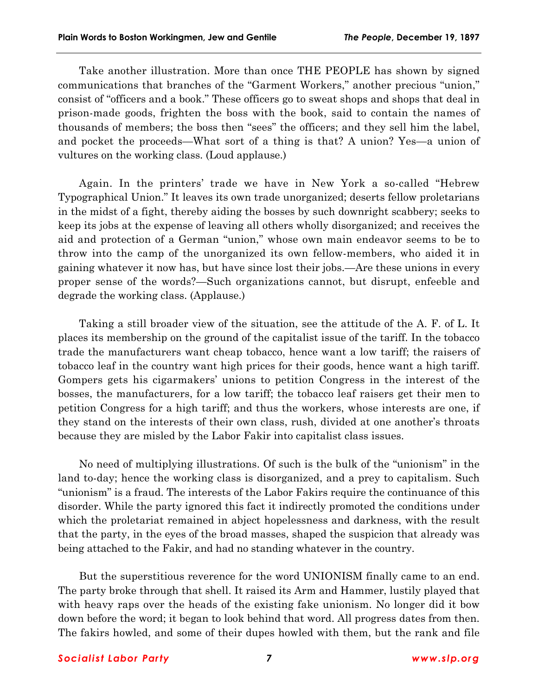Take another illustration. More than once THE PEOPLE has shown by signed communications that branches of the "Garment Workers," another precious "union," consist of "officers and a book." These officers go to sweat shops and shops that deal in prison-made goods, frighten the boss with the book, said to contain the names of thousands of members; the boss then "sees" the officers; and they sell him the label, and pocket the proceeds—What sort of a thing is that? A union? Yes—a union of vultures on the working class. (Loud applause.)

Again. In the printers' trade we have in New York a so-called "Hebrew Typographical Union." It leaves its own trade unorganized; deserts fellow proletarians in the midst of a fight, thereby aiding the bosses by such downright scabbery; seeks to keep its jobs at the expense of leaving all others wholly disorganized; and receives the aid and protection of a German "union," whose own main endeavor seems to be to throw into the camp of the unorganized its own fellow-members, who aided it in gaining whatever it now has, but have since lost their jobs.—Are these unions in every proper sense of the words?—Such organizations cannot, but disrupt, enfeeble and degrade the working class. (Applause.)

Taking a still broader view of the situation, see the attitude of the A. F. of L. It places its membership on the ground of the capitalist issue of the tariff. In the tobacco trade the manufacturers want cheap tobacco, hence want a low tariff; the raisers of tobacco leaf in the country want high prices for their goods, hence want a high tariff. Gompers gets his cigarmakers' unions to petition Congress in the interest of the bosses, the manufacturers, for a low tariff; the tobacco leaf raisers get their men to petition Congress for a high tariff; and thus the workers, whose interests are one, if they stand on the interests of their own class, rush, divided at one another's throats because they are misled by the Labor Fakir into capitalist class issues.

No need of multiplying illustrations. Of such is the bulk of the "unionism" in the land to-day; hence the working class is disorganized, and a prey to capitalism. Such "unionism" is a fraud. The interests of the Labor Fakirs require the continuance of this disorder. While the party ignored this fact it indirectly promoted the conditions under which the proletariat remained in abject hopelessness and darkness, with the result that the party, in the eyes of the broad masses, shaped the suspicion that already was being attached to the Fakir, and had no standing whatever in the country.

But the superstitious reverence for the word UNIONISM finally came to an end. The party broke through that shell. It raised its Arm and Hammer, lustily played that with heavy raps over the heads of the existing fake unionism. No longer did it bow down before the word; it began to look behind that word. All progress dates from then. The fakirs howled, and some of their dupes howled with them, but the rank and file

## *Socialist Labor Party 7 www.slp.org*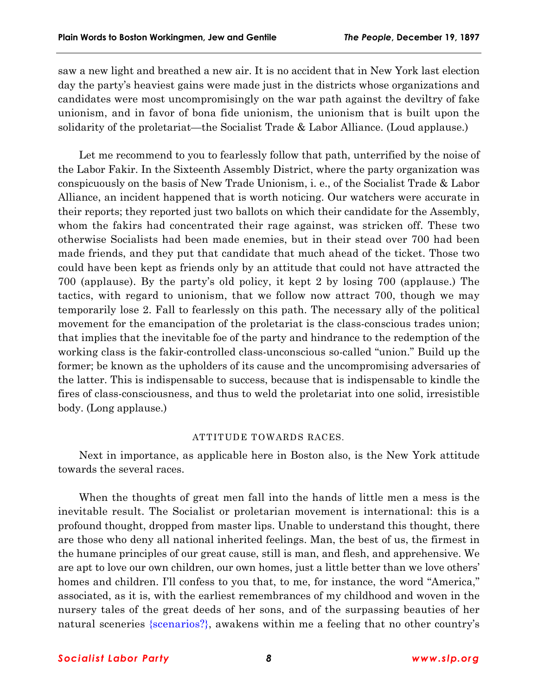saw a new light and breathed a new air. It is no accident that in New York last election day the partyís heaviest gains were made just in the districts whose organizations and candidates were most uncompromisingly on the war path against the deviltry of fake unionism, and in favor of bona fide unionism, the unionism that is built upon the solidarity of the proletariat—the Socialist Trade  $&$  Labor Alliance. (Loud applause.)

Let me recommend to you to fearlessly follow that path, unterrified by the noise of the Labor Fakir. In the Sixteenth Assembly District, where the party organization was conspicuously on the basis of New Trade Unionism, i. e., of the Socialist Trade & Labor Alliance, an incident happened that is worth noticing. Our watchers were accurate in their reports; they reported just two ballots on which their candidate for the Assembly, whom the fakirs had concentrated their rage against, was stricken off. These two otherwise Socialists had been made enemies, but in their stead over 700 had been made friends, and they put that candidate that much ahead of the ticket. Those two could have been kept as friends only by an attitude that could not have attracted the 700 (applause). By the partyís old policy, it kept 2 by losing 700 (applause.) The tactics, with regard to unionism, that we follow now attract 700, though we may temporarily lose 2. Fall to fearlessly on this path. The necessary ally of the political movement for the emancipation of the proletariat is the class-conscious trades union; that implies that the inevitable foe of the party and hindrance to the redemption of the working class is the fakir-controlled class-unconscious so-called "union." Build up the former; be known as the upholders of its cause and the uncompromising adversaries of the latter. This is indispensable to success, because that is indispensable to kindle the fires of class-consciousness, and thus to weld the proletariat into one solid, irresistible body. (Long applause.)

#### ATTITUDE TOWARDS RACES.

Next in importance, as applicable here in Boston also, is the New York attitude towards the several races.

When the thoughts of great men fall into the hands of little men a mess is the inevitable result. The Socialist or proletarian movement is international: this is a profound thought, dropped from master lips. Unable to understand this thought, there are those who deny all national inherited feelings. Man, the best of us, the firmest in the humane principles of our great cause, still is man, and flesh, and apprehensive. We are apt to love our own children, our own homes, just a little better than we love others' homes and children. I'll confess to you that, to me, for instance, the word "America," associated, as it is, with the earliest remembrances of my childhood and woven in the nursery tales of the great deeds of her sons, and of the surpassing beauties of her natural sceneries {scenarios?}, awakens within me a feeling that no other country's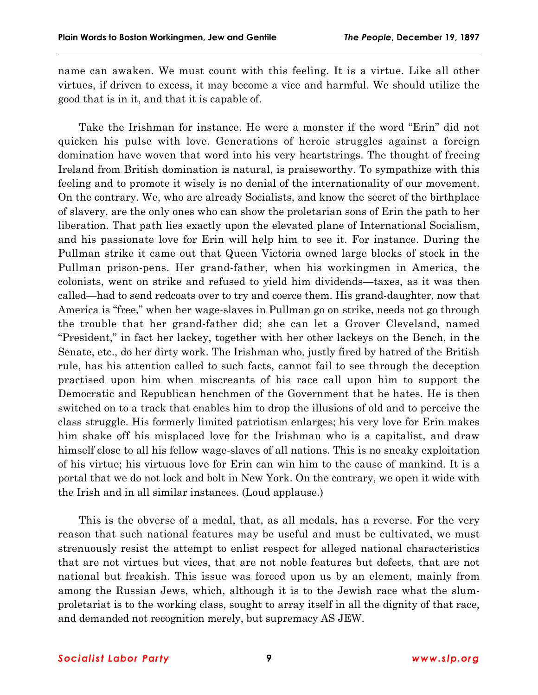name can awaken. We must count with this feeling. It is a virtue. Like all other virtues, if driven to excess, it may become a vice and harmful. We should utilize the good that is in it, and that it is capable of.

Take the Irishman for instance. He were a monster if the word "Erin" did not quicken his pulse with love. Generations of heroic struggles against a foreign domination have woven that word into his very heartstrings. The thought of freeing Ireland from British domination is natural, is praiseworthy. To sympathize with this feeling and to promote it wisely is no denial of the internationality of our movement. On the contrary. We, who are already Socialists, and know the secret of the birthplace of slavery, are the only ones who can show the proletarian sons of Erin the path to her liberation. That path lies exactly upon the elevated plane of International Socialism, and his passionate love for Erin will help him to see it. For instance. During the Pullman strike it came out that Queen Victoria owned large blocks of stock in the Pullman prison-pens. Her grand-father, when his workingmen in America, the colonists, went on strike and refused to yield him dividends—taxes, as it was then called—had to send redcoats over to try and coerce them. His grand-daughter, now that America is "free," when her wage-slaves in Pullman go on strike, needs not go through the trouble that her grand-father did; she can let a Grover Cleveland, named ìPresident,î in fact her lackey, together with her other lackeys on the Bench, in the Senate, etc., do her dirty work. The Irishman who, justly fired by hatred of the British rule, has his attention called to such facts, cannot fail to see through the deception practised upon him when miscreants of his race call upon him to support the Democratic and Republican henchmen of the Government that he hates. He is then switched on to a track that enables him to drop the illusions of old and to perceive the class struggle. His formerly limited patriotism enlarges; his very love for Erin makes him shake off his misplaced love for the Irishman who is a capitalist, and draw himself close to all his fellow wage-slaves of all nations. This is no sneaky exploitation of his virtue; his virtuous love for Erin can win him to the cause of mankind. It is a portal that we do not lock and bolt in New York. On the contrary, we open it wide with the Irish and in all similar instances. (Loud applause.)

This is the obverse of a medal, that, as all medals, has a reverse. For the very reason that such national features may be useful and must be cultivated, we must strenuously resist the attempt to enlist respect for alleged national characteristics that are not virtues but vices, that are not noble features but defects, that are not national but freakish. This issue was forced upon us by an element, mainly from among the Russian Jews, which, although it is to the Jewish race what the slumproletariat is to the working class, sought to array itself in all the dignity of that race, and demanded not recognition merely, but supremacy AS JEW.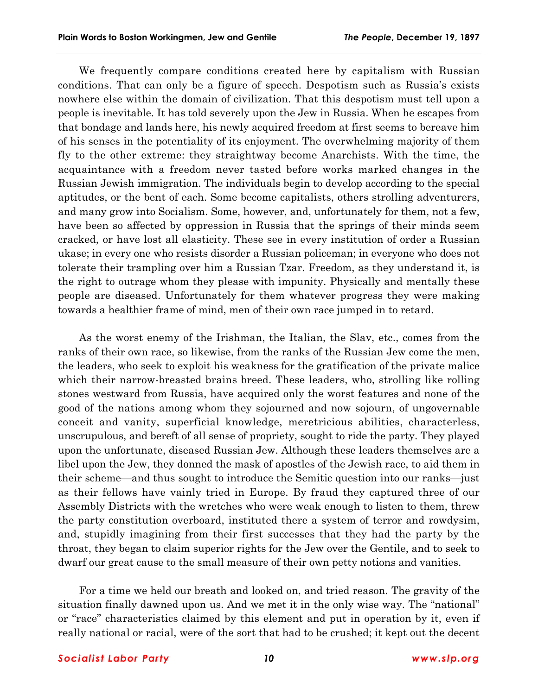We frequently compare conditions created here by capitalism with Russian conditions. That can only be a figure of speech. Despotism such as Russiaís exists nowhere else within the domain of civilization. That this despotism must tell upon a people is inevitable. It has told severely upon the Jew in Russia. When he escapes from that bondage and lands here, his newly acquired freedom at first seems to bereave him of his senses in the potentiality of its enjoyment. The overwhelming majority of them fly to the other extreme: they straightway become Anarchists. With the time, the acquaintance with a freedom never tasted before works marked changes in the Russian Jewish immigration. The individuals begin to develop according to the special aptitudes, or the bent of each. Some become capitalists, others strolling adventurers, and many grow into Socialism. Some, however, and, unfortunately for them, not a few, have been so affected by oppression in Russia that the springs of their minds seem cracked, or have lost all elasticity. These see in every institution of order a Russian ukase; in every one who resists disorder a Russian policeman; in everyone who does not tolerate their trampling over him a Russian Tzar. Freedom, as they understand it, is the right to outrage whom they please with impunity. Physically and mentally these people are diseased. Unfortunately for them whatever progress they were making towards a healthier frame of mind, men of their own race jumped in to retard.

As the worst enemy of the Irishman, the Italian, the Slav, etc., comes from the ranks of their own race, so likewise, from the ranks of the Russian Jew come the men, the leaders, who seek to exploit his weakness for the gratification of the private malice which their narrow-breasted brains breed. These leaders, who, strolling like rolling stones westward from Russia, have acquired only the worst features and none of the good of the nations among whom they sojourned and now sojourn, of ungovernable conceit and vanity, superficial knowledge, meretricious abilities, characterless, unscrupulous, and bereft of all sense of propriety, sought to ride the party. They played upon the unfortunate, diseased Russian Jew. Although these leaders themselves are a libel upon the Jew, they donned the mask of apostles of the Jewish race, to aid them in their scheme—and thus sought to introduce the Semitic question into our ranks—just as their fellows have vainly tried in Europe. By fraud they captured three of our Assembly Districts with the wretches who were weak enough to listen to them, threw the party constitution overboard, instituted there a system of terror and rowdysim, and, stupidly imagining from their first successes that they had the party by the throat, they began to claim superior rights for the Jew over the Gentile, and to seek to dwarf our great cause to the small measure of their own petty notions and vanities.

For a time we held our breath and looked on, and tried reason. The gravity of the situation finally dawned upon us. And we met it in the only wise way. The "national" or "race" characteristics claimed by this element and put in operation by it, even if really national or racial, were of the sort that had to be crushed; it kept out the decent

## *Socialist Labor Party 10 www.slp.org*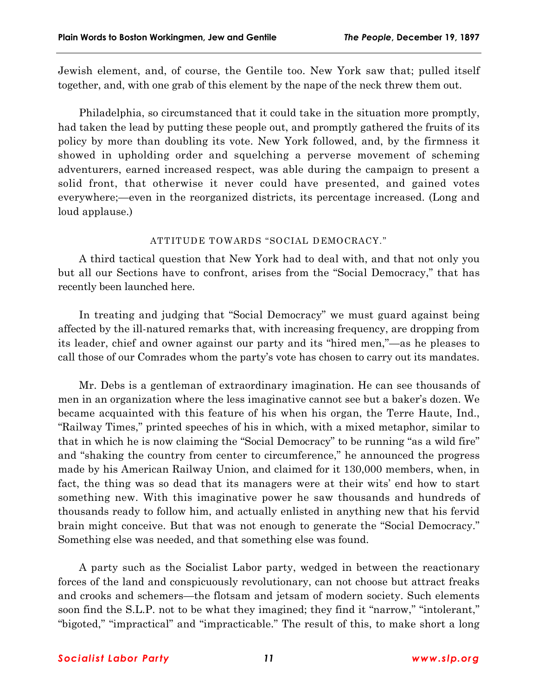Jewish element, and, of course, the Gentile too. New York saw that; pulled itself together, and, with one grab of this element by the nape of the neck threw them out.

Philadelphia, so circumstanced that it could take in the situation more promptly, had taken the lead by putting these people out, and promptly gathered the fruits of its policy by more than doubling its vote. New York followed, and, by the firmness it showed in upholding order and squelching a perverse movement of scheming adventurers, earned increased respect, was able during the campaign to present a solid front, that otherwise it never could have presented, and gained votes everywhere;—even in the reorganized districts, its percentage increased. (Long and loud applause.)

# ATTITUDE TOWARDS "SOCIAL DEMOCRACY."

A third tactical question that New York had to deal with, and that not only you but all our Sections have to confront, arises from the "Social Democracy," that has recently been launched here.

In treating and judging that "Social Democracy" we must guard against being affected by the ill-natured remarks that, with increasing frequency, are dropping from its leader, chief and owner against our party and its "hired men,"—as he pleases to call those of our Comrades whom the partyís vote has chosen to carry out its mandates.

Mr. Debs is a gentleman of extraordinary imagination. He can see thousands of men in an organization where the less imaginative cannot see but a baker's dozen. We became acquainted with this feature of his when his organ, the Terre Haute, Ind., ìRailway Times,î printed speeches of his in which, with a mixed metaphor, similar to that in which he is now claiming the "Social Democracy" to be running "as a wild fire" and "shaking the country from center to circumference," he announced the progress made by his American Railway Union, and claimed for it 130,000 members, when, in fact, the thing was so dead that its managers were at their wits' end how to start something new. With this imaginative power he saw thousands and hundreds of thousands ready to follow him, and actually enlisted in anything new that his fervid brain might conceive. But that was not enough to generate the "Social Democracy." Something else was needed, and that something else was found.

A party such as the Socialist Labor party, wedged in between the reactionary forces of the land and conspicuously revolutionary, can not choose but attract freaks and crooks and schemers—the flotsam and jetsam of modern society. Such elements soon find the S.L.P. not to be what they imagined; they find it "narrow," "intolerant," "bigoted," "impractical" and "impracticable." The result of this, to make short a long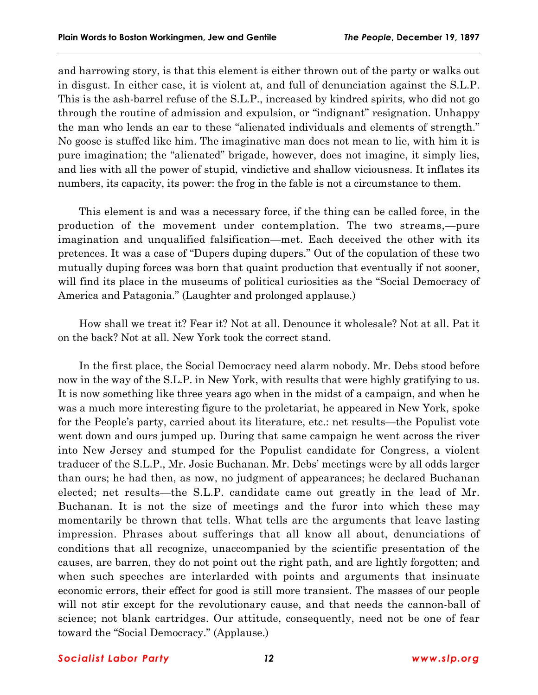and harrowing story, is that this element is either thrown out of the party or walks out in disgust. In either case, it is violent at, and full of denunciation against the S.L.P. This is the ash-barrel refuse of the S.L.P., increased by kindred spirits, who did not go through the routine of admission and expulsion, or "indignant" resignation. Unhappy the man who lends an ear to these "alienated individuals and elements of strength." No goose is stuffed like him. The imaginative man does not mean to lie, with him it is pure imagination; the "alienated" brigade, however, does not imagine, it simply lies, and lies with all the power of stupid, vindictive and shallow viciousness. It inflates its numbers, its capacity, its power: the frog in the fable is not a circumstance to them.

This element is and was a necessary force, if the thing can be called force, in the production of the movement under contemplation. The two streams,—pure imagination and unqualified falsification—met. Each deceived the other with its pretences. It was a case of "Dupers duping dupers." Out of the copulation of these two mutually duping forces was born that quaint production that eventually if not sooner, will find its place in the museums of political curiosities as the "Social Democracy of America and Patagonia." (Laughter and prolonged applause.)

How shall we treat it? Fear it? Not at all. Denounce it wholesale? Not at all. Pat it on the back? Not at all. New York took the correct stand.

In the first place, the Social Democracy need alarm nobody. Mr. Debs stood before now in the way of the S.L.P. in New York, with results that were highly gratifying to us. It is now something like three years ago when in the midst of a campaign, and when he was a much more interesting figure to the proletariat, he appeared in New York, spoke for the People's party, carried about its literature, etc.: net results—the Populist vote went down and ours jumped up. During that same campaign he went across the river into New Jersey and stumped for the Populist candidate for Congress, a violent traducer of the S.L.P., Mr. Josie Buchanan. Mr. Debsí meetings were by all odds larger than ours; he had then, as now, no judgment of appearances; he declared Buchanan elected; net results—the S.L.P. candidate came out greatly in the lead of Mr. Buchanan. It is not the size of meetings and the furor into which these may momentarily be thrown that tells. What tells are the arguments that leave lasting impression. Phrases about sufferings that all know all about, denunciations of conditions that all recognize, unaccompanied by the scientific presentation of the causes, are barren, they do not point out the right path, and are lightly forgotten; and when such speeches are interlarded with points and arguments that insinuate economic errors, their effect for good is still more transient. The masses of our people will not stir except for the revolutionary cause, and that needs the cannon-ball of science; not blank cartridges. Our attitude, consequently, need not be one of fear toward the "Social Democracy." (Applause.)

#### *Socialist Labor Party 12 www.slp.org*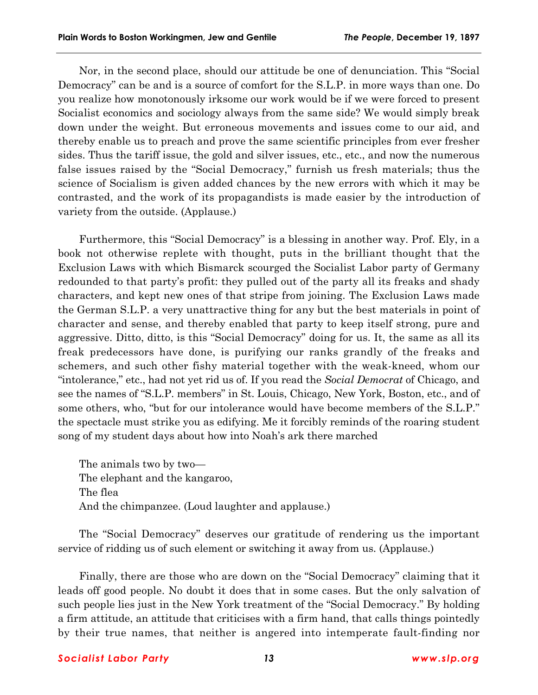Nor, in the second place, should our attitude be one of denunciation. This "Social Democracyî can be and is a source of comfort for the S.L.P. in more ways than one. Do you realize how monotonously irksome our work would be if we were forced to present Socialist economics and sociology always from the same side? We would simply break down under the weight. But erroneous movements and issues come to our aid, and thereby enable us to preach and prove the same scientific principles from ever fresher sides. Thus the tariff issue, the gold and silver issues, etc., etc., and now the numerous false issues raised by the "Social Democracy," furnish us fresh materials; thus the science of Socialism is given added chances by the new errors with which it may be contrasted, and the work of its propagandists is made easier by the introduction of variety from the outside. (Applause.)

Furthermore, this "Social Democracy" is a blessing in another way. Prof. Ely, in a book not otherwise replete with thought, puts in the brilliant thought that the Exclusion Laws with which Bismarck scourged the Socialist Labor party of Germany redounded to that party's profit: they pulled out of the party all its freaks and shady characters, and kept new ones of that stripe from joining. The Exclusion Laws made the German S.L.P. a very unattractive thing for any but the best materials in point of character and sense, and thereby enabled that party to keep itself strong, pure and aggressive. Ditto, ditto, is this "Social Democracy" doing for us. It, the same as all its freak predecessors have done, is purifying our ranks grandly of the freaks and schemers, and such other fishy material together with the weak-kneed, whom our "intolerance," etc., had not yet rid us of. If you read the *Social Democrat* of Chicago, and see the names of "S.L.P. members" in St. Louis, Chicago, New York, Boston, etc., and of some others, who, "but for our intolerance would have become members of the S.L.P." the spectacle must strike you as edifying. Me it forcibly reminds of the roaring student song of my student days about how into Noah's ark there marched

The animals two by two $-$ The elephant and the kangaroo, The flea And the chimpanzee. (Loud laughter and applause.)

The "Social Democracy" deserves our gratitude of rendering us the important service of ridding us of such element or switching it away from us. (Applause.)

Finally, there are those who are down on the "Social Democracy" claiming that it leads off good people. No doubt it does that in some cases. But the only salvation of such people lies just in the New York treatment of the "Social Democracy." By holding a firm attitude, an attitude that criticises with a firm hand, that calls things pointedly by their true names, that neither is angered into intemperate fault-finding nor

## *Socialist Labor Party 13 www.slp.org*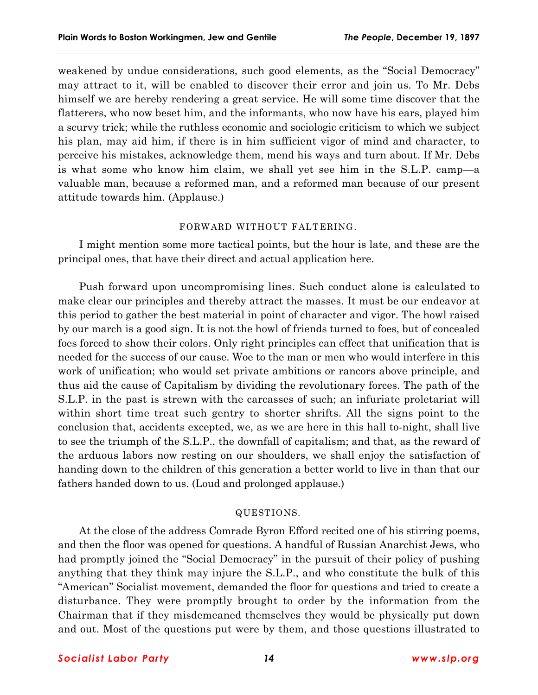weakened by undue considerations, such good elements, as the "Social Democracy" may attract to it, will be enabled to discover their error and join us. To Mr. Debs himself we are hereby rendering a great service. He will some time discover that the flatterers, who now beset him, and the informants, who now have his ears, played him a scurvy trick; while the ruthless economic and sociologic criticism to which we subject his plan, may aid him, if there is in him sufficient vigor of mind and character, to perceive his mistakes, acknowledge them, mend his ways and turn about. If Mr. Debs is what some who know him claim, we shall yet see him in the S.L.P. camp—a valuable man, because a reformed man, and a reformed man because of our present attitude towards him. (Applause.)

## FORWARD WITHOUT FALTERING.

I might mention some more tactical points, but the hour is late, and these are the principal ones, that have their direct and actual application here.

Push forward upon uncompromising lines. Such conduct alone is calculated to make clear our principles and thereby attract the masses. It must be our endeavor at this period to gather the best material in point of character and vigor. The howl raised by our march is a good sign. It is not the howl of friends turned to foes, but of concealed foes forced to show their colors. Only right principles can effect that unification that is needed for the success of our cause. Woe to the man or men who would interfere in this work of unification; who would set private ambitions or rancors above principle, and thus aid the cause of Capitalism by dividing the revolutionary forces. The path of the S.L.P. in the past is strewn with the carcasses of such; an infuriate proletariat will within short time treat such gentry to shorter shrifts. All the signs point to the conclusion that, accidents excepted, we, as we are here in this hall to-night, shall live to see the triumph of the S.L.P., the downfall of capitalism; and that, as the reward of the arduous labors now resting on our shoulders, we shall enjoy the satisfaction of handing down to the children of this generation a better world to live in than that our fathers handed down to us. (Loud and prolonged applause.)

#### QUESTIONS.

At the close of the address Comrade Byron Efford recited one of his stirring poems, and then the floor was opened for questions. A handful of Russian Anarchist Jews, who had promptly joined the "Social Democracy" in the pursuit of their policy of pushing anything that they think may injure the S.L.P., and who constitute the bulk of this ìAmericanî Socialist movement, demanded the floor for questions and tried to create a disturbance. They were promptly brought to order by the information from the Chairman that if they misdemeaned themselves they would be physically put down and out. Most of the questions put were by them, and those questions illustrated to

## *Socialist Labor Party 14 www.slp.org*